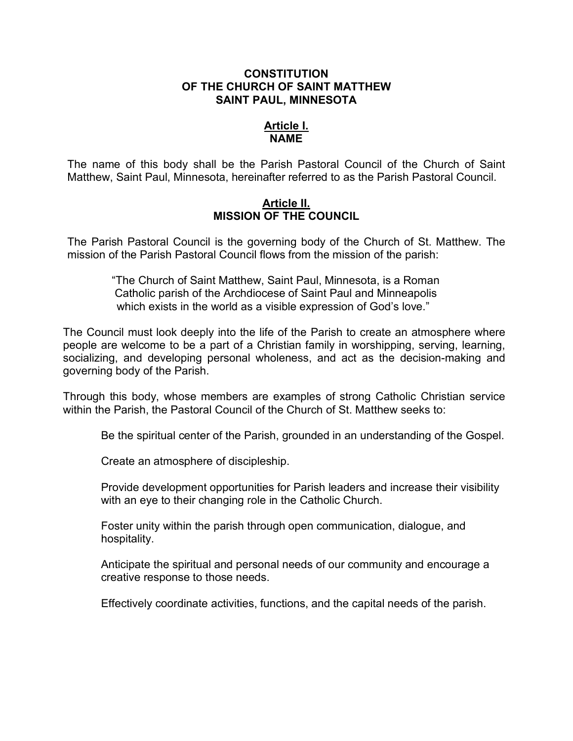## **CONSTITUTION OF THE CHURCH OF SAINT MATTHEW SAINT PAUL, MINNESOTA**

## **Article I. NAME**

The name of this body shall be the Parish Pastoral Council of the Church of Saint Matthew, Saint Paul, Minnesota, hereinafter referred to as the Parish Pastoral Council.

## **Article II. MISSION OF THE COUNCIL**

The Parish Pastoral Council is the governing body of the Church of St. Matthew. The mission of the Parish Pastoral Council flows from the mission of the parish:

> "The Church of Saint Matthew, Saint Paul, Minnesota, is a Roman Catholic parish of the Archdiocese of Saint Paul and Minneapolis which exists in the world as a visible expression of God's love."

The Council must look deeply into the life of the Parish to create an atmosphere where people are welcome to be a part of a Christian family in worshipping, serving, learning, socializing, and developing personal wholeness, and act as the decision-making and governing body of the Parish.

Through this body, whose members are examples of strong Catholic Christian service within the Parish, the Pastoral Council of the Church of St. Matthew seeks to:

Be the spiritual center of the Parish, grounded in an understanding of the Gospel.

Create an atmosphere of discipleship.

Provide development opportunities for Parish leaders and increase their visibility with an eye to their changing role in the Catholic Church.

Foster unity within the parish through open communication, dialogue, and hospitality.

Anticipate the spiritual and personal needs of our community and encourage a creative response to those needs.

Effectively coordinate activities, functions, and the capital needs of the parish.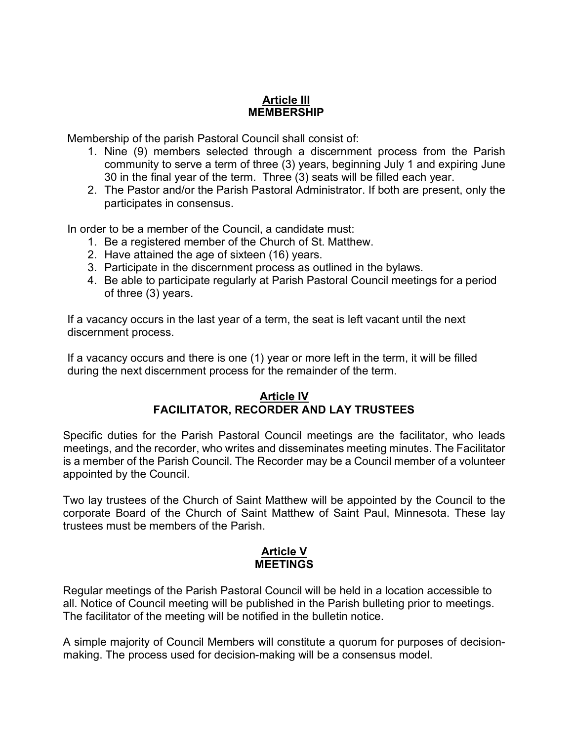# **Article III MEMBERSHIP**

Membership of the parish Pastoral Council shall consist of:

- 1. Nine (9) members selected through a discernment process from the Parish community to serve a term of three (3) years, beginning July 1 and expiring June 30 in the final year of the term. Three (3) seats will be filled each year.
- 2. The Pastor and/or the Parish Pastoral Administrator. If both are present, only the participates in consensus.

In order to be a member of the Council, a candidate must:

- 1. Be a registered member of the Church of St. Matthew.
- 2. Have attained the age of sixteen (16) years.
- 3. Participate in the discernment process as outlined in the bylaws.
- 4. Be able to participate regularly at Parish Pastoral Council meetings for a period of three (3) years.

If a vacancy occurs in the last year of a term, the seat is left vacant until the next discernment process.

If a vacancy occurs and there is one (1) year or more left in the term, it will be filled during the next discernment process for the remainder of the term.

## **Article IV FACILITATOR, RECORDER AND LAY TRUSTEES**

Specific duties for the Parish Pastoral Council meetings are the facilitator, who leads meetings, and the recorder, who writes and disseminates meeting minutes. The Facilitator is a member of the Parish Council. The Recorder may be a Council member of a volunteer appointed by the Council.

Two lay trustees of the Church of Saint Matthew will be appointed by the Council to the corporate Board of the Church of Saint Matthew of Saint Paul, Minnesota. These lay trustees must be members of the Parish.

## **Article V MEETINGS**

Regular meetings of the Parish Pastoral Council will be held in a location accessible to all. Notice of Council meeting will be published in the Parish bulleting prior to meetings. The facilitator of the meeting will be notified in the bulletin notice.

A simple majority of Council Members will constitute a quorum for purposes of decisionmaking. The process used for decision-making will be a consensus model.